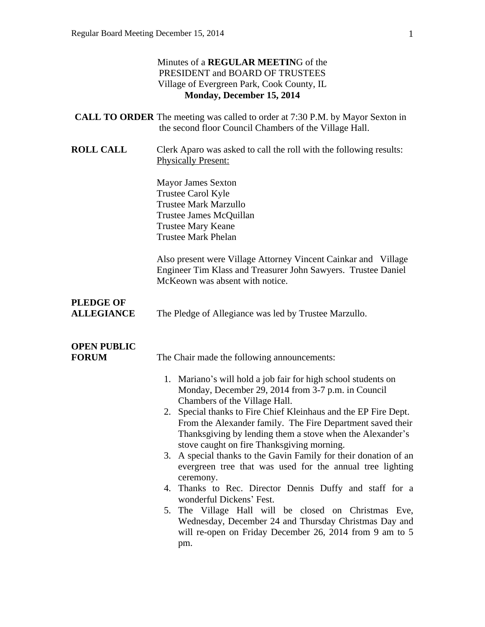|                                       | Minutes of a <b>REGULAR MEETING</b> of the<br>PRESIDENT and BOARD OF TRUSTEES<br>Village of Evergreen Park, Cook County, IL<br>Monday, December 15, 2014                                                                                                                                                                                                                                                                                                                                                                                                                                                                                                                                                                                                                                                                                                                      |
|---------------------------------------|-------------------------------------------------------------------------------------------------------------------------------------------------------------------------------------------------------------------------------------------------------------------------------------------------------------------------------------------------------------------------------------------------------------------------------------------------------------------------------------------------------------------------------------------------------------------------------------------------------------------------------------------------------------------------------------------------------------------------------------------------------------------------------------------------------------------------------------------------------------------------------|
|                                       | <b>CALL TO ORDER</b> The meeting was called to order at 7:30 P.M. by Mayor Sexton in<br>the second floor Council Chambers of the Village Hall.                                                                                                                                                                                                                                                                                                                                                                                                                                                                                                                                                                                                                                                                                                                                |
| <b>ROLL CALL</b>                      | Clerk Aparo was asked to call the roll with the following results:<br><b>Physically Present:</b>                                                                                                                                                                                                                                                                                                                                                                                                                                                                                                                                                                                                                                                                                                                                                                              |
|                                       | <b>Mayor James Sexton</b><br>Trustee Carol Kyle<br><b>Trustee Mark Marzullo</b><br>Trustee James McQuillan<br><b>Trustee Mary Keane</b><br><b>Trustee Mark Phelan</b>                                                                                                                                                                                                                                                                                                                                                                                                                                                                                                                                                                                                                                                                                                         |
|                                       | Also present were Village Attorney Vincent Cainkar and Village<br>Engineer Tim Klass and Treasurer John Sawyers. Trustee Daniel<br>McKeown was absent with notice.                                                                                                                                                                                                                                                                                                                                                                                                                                                                                                                                                                                                                                                                                                            |
| <b>PLEDGE OF</b><br><b>ALLEGIANCE</b> | The Pledge of Allegiance was led by Trustee Marzullo.                                                                                                                                                                                                                                                                                                                                                                                                                                                                                                                                                                                                                                                                                                                                                                                                                         |
| <b>OPEN PUBLIC</b><br><b>FORUM</b>    | The Chair made the following announcements:<br>1. Mariano's will hold a job fair for high school students on<br>Monday, December 29, 2014 from 3-7 p.m. in Council<br>Chambers of the Village Hall.<br>2. Special thanks to Fire Chief Kleinhaus and the EP Fire Dept.<br>From the Alexander family. The Fire Department saved their<br>Thanksgiving by lending them a stove when the Alexander's<br>stove caught on fire Thanksgiving morning.<br>3. A special thanks to the Gavin Family for their donation of an<br>evergreen tree that was used for the annual tree lighting<br>ceremony.<br>Thanks to Rec. Director Dennis Duffy and staff for a<br>4.<br>wonderful Dickens' Fest.<br>The Village Hall will be closed on Christmas Eve,<br>5.<br>Wednesday, December 24 and Thursday Christmas Day and<br>will re-open on Friday December 26, 2014 from 9 am to 5<br>pm. |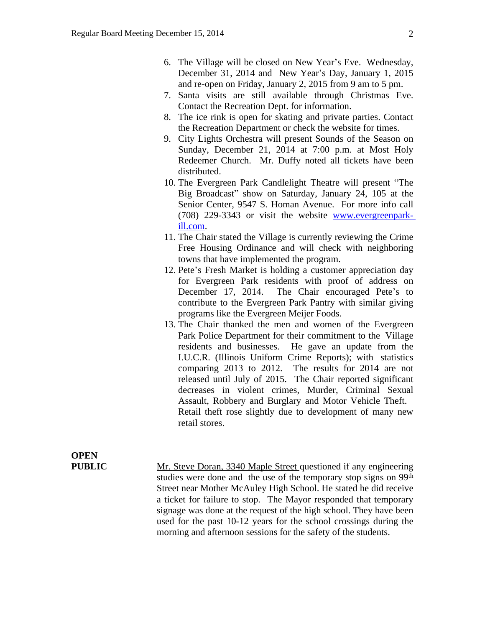- 6. The Village will be closed on New Year's Eve. Wednesday, December 31, 2014 and New Year's Day, January 1, 2015 and re-open on Friday, January 2, 2015 from 9 am to 5 pm.
- 7. Santa visits are still available through Christmas Eve. Contact the Recreation Dept. for information.
- 8. The ice rink is open for skating and private parties. Contact the Recreation Department or check the website for times.
- 9. City Lights Orchestra will present Sounds of the Season on Sunday, December 21, 2014 at 7:00 p.m. at Most Holy Redeemer Church. Mr. Duffy noted all tickets have been distributed.
- 10. The Evergreen Park Candlelight Theatre will present "The Big Broadcast" show on Saturday, January 24, 105 at the Senior Center, 9547 S. Homan Avenue. For more info call (708) 229-3343 or visit the website [www.evergreenpark](http://www.evergreenpark-ill.com)ill.com.
- 11. The Chair stated the Village is currently reviewing the Crime Free Housing Ordinance and will check with neighboring towns that have implemented the program.
- 12. Pete's Fresh Market is holding a customer appreciation day for Evergreen Park residents with proof of address on December 17, 2014. The Chair encouraged Pete's to contribute to the Evergreen Park Pantry with similar giving programs like the Evergreen Meijer Foods.
- 13. The Chair thanked the men and women of the Evergreen Park Police Department for their commitment to the Village residents and businesses. He gave an update from the I.U.C.R. (Illinois Uniform Crime Reports); with statistics comparing 2013 to 2012. The results for 2014 are not released until July of 2015. The Chair reported significant decreases in violent crimes, Murder, Criminal Sexual Assault, Robbery and Burglary and Motor Vehicle Theft. Retail theft rose slightly due to development of many new retail stores.

# **OPEN**

**PUBLIC** Mr. Steve Doran, 3340 Maple Street questioned if any engineering studies were done and the use of the temporary stop signs on 99<sup>th</sup> Street near Mother McAuley High School. He stated he did receive a ticket for failure to stop. The Mayor responded that temporary signage was done at the request of the high school. They have been used for the past 10-12 years for the school crossings during the morning and afternoon sessions for the safety of the students.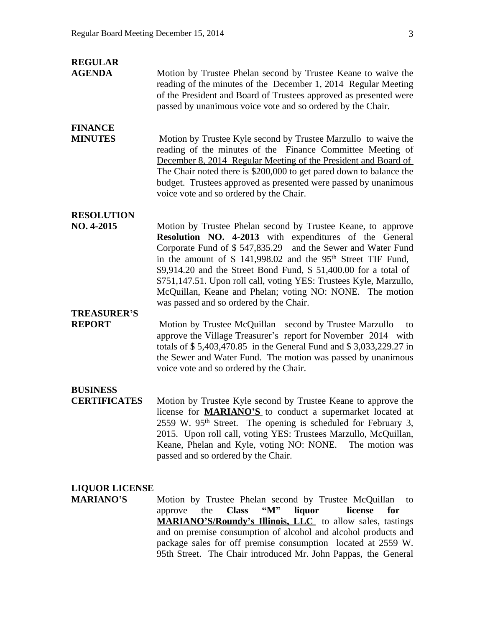| <b>REGULAR</b><br><b>AGENDA</b>        | Motion by Trustee Phelan second by Trustee Keane to waive the<br>reading of the minutes of the December 1, 2014 Regular Meeting<br>of the President and Board of Trustees approved as presented were<br>passed by unanimous voice vote and so ordered by the Chair.                                                                                                                                                                                                                                               |
|----------------------------------------|-------------------------------------------------------------------------------------------------------------------------------------------------------------------------------------------------------------------------------------------------------------------------------------------------------------------------------------------------------------------------------------------------------------------------------------------------------------------------------------------------------------------|
| <b>FINANCE</b><br><b>MINUTES</b>       | Motion by Trustee Kyle second by Trustee Marzullo to waive the<br>reading of the minutes of the Finance Committee Meeting of<br>December 8, 2014 Regular Meeting of the President and Board of<br>The Chair noted there is \$200,000 to get pared down to balance the<br>budget. Trustees approved as presented were passed by unanimous<br>voice vote and so ordered by the Chair.                                                                                                                               |
| <b>RESOLUTION</b><br>NO. 4-2015        | Motion by Trustee Phelan second by Trustee Keane, to approve<br>Resolution NO. 4-2013 with expenditures of the General<br>Corporate Fund of \$547,835.29 and the Sewer and Water Fund<br>in the amount of $$141,998.02$ and the 95 <sup>th</sup> Street TIF Fund,<br>\$9,914.20 and the Street Bond Fund, \$51,400.00 for a total of<br>\$751,147.51. Upon roll call, voting YES: Trustees Kyle, Marzullo,<br>McQuillan, Keane and Phelan; voting NO: NONE. The motion<br>was passed and so ordered by the Chair. |
| <b>TREASURER'S</b><br><b>REPORT</b>    | Motion by Trustee McQuillan second by Trustee Marzullo<br>to<br>approve the Village Treasurer's report for November 2014 with<br>totals of \$5,403,470.85 in the General Fund and \$3,033,229.27 in<br>the Sewer and Water Fund. The motion was passed by unanimous<br>voice vote and so ordered by the Chair.                                                                                                                                                                                                    |
| <b>BUSINESS</b><br><b>CERTIFICATES</b> | Motion by Trustee Kyle second by Trustee Keane to approve the<br>license for <b>MARIANO'S</b> to conduct a supermarket located at<br>$2559$ W. $95th$ Street. The opening is scheduled for February 3,<br>2015. Upon roll call, voting YES: Trustees Marzullo, McQuillan,<br>Keane, Phelan and Kyle, voting NO: NONE.<br>The motion was<br>passed and so ordered by the Chair.                                                                                                                                    |

### **LIQUOR LICENSE**

**MARIANO'S** Motion by Trustee Phelan second by Trustee McQuillan to approve the **Class** "M" liquor license for **Class "M"** liquor license for **MARIANO'S/Roundy's Illinois, LLC** to allow sales, tastings and on premise consumption of alcohol and alcohol products and package sales for off premise consumption located at 2559 W. 95th Street. The Chair introduced Mr. John Pappas, the General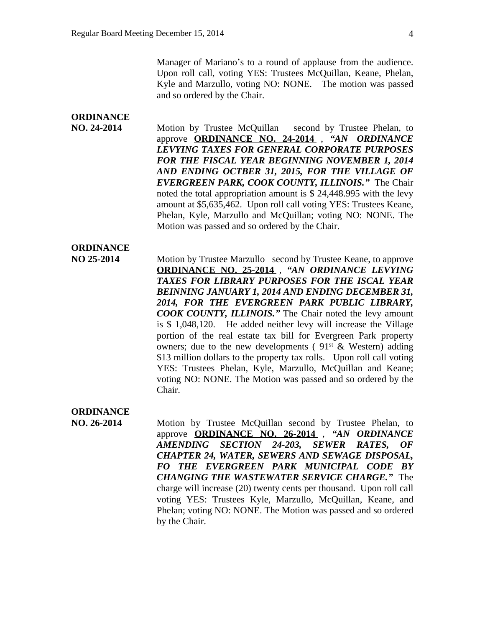Manager of Mariano's to a round of applause from the audience. Upon roll call, voting YES: Trustees McQuillan, Keane, Phelan, Kyle and Marzullo, voting NO: NONE. The motion was passed and so ordered by the Chair.

## **ORDINANCE**

**NO. 24-2014** Motion by Trustee McQuillan second by Trustee Phelan, to approve **ORDINANCE NO. 24-2014** , *"AN ORDINANCE LEVYING TAXES FOR GENERAL CORPORATE PURPOSES FOR THE FISCAL YEAR BEGINNING NOVEMBER 1, 2014 AND ENDING OCTBER 31, 2015, FOR THE VILLAGE OF EVERGREEN PARK, COOK COUNTY, ILLINOIS."* The Chair noted the total appropriation amount is \$ 24,448.995 with the levy amount at \$5,635,462. Upon roll call voting YES: Trustees Keane, Phelan, Kyle, Marzullo and McQuillan; voting NO: NONE. The Motion was passed and so ordered by the Chair.

### **ORDINANCE**

**NO 25-2014** Motion by Trustee Marzullo second by Trustee Keane, to approve **ORDINANCE NO. 25-2014** , *"AN ORDINANCE LEVYING TAXES FOR LIBRARY PURPOSES FOR THE ISCAL YEAR BEINNING JANUARY 1, 2014 AND ENDING DECEMBER 31, 2014, FOR THE EVERGREEN PARK PUBLIC LIBRARY, COOK COUNTY, ILLINOIS."* The Chair noted the levy amount is \$ 1,048,120. He added neither levy will increase the Village portion of the real estate tax bill for Evergreen Park property owners; due to the new developments ( $91^{st}$  & Western) adding \$13 million dollars to the property tax rolls. Upon roll call voting YES: Trustees Phelan, Kyle, Marzullo, McQuillan and Keane; voting NO: NONE. The Motion was passed and so ordered by the Chair.

### **ORDINANCE**

**NO. 26-2014** Motion by Trustee McQuillan second by Trustee Phelan, to approve **ORDINANCE NO. 26-2014** , *"AN ORDINANCE AMENDING SECTION 24-203, SEWER RATES, OF CHAPTER 24, WATER, SEWERS AND SEWAGE DISPOSAL, FO THE EVERGREEN PARK MUNICIPAL CODE BY CHANGING THE WASTEWATER SERVICE CHARGE."* The charge will increase (20) twenty cents per thousand. Upon roll call voting YES: Trustees Kyle, Marzullo, McQuillan, Keane, and Phelan; voting NO: NONE. The Motion was passed and so ordered by the Chair.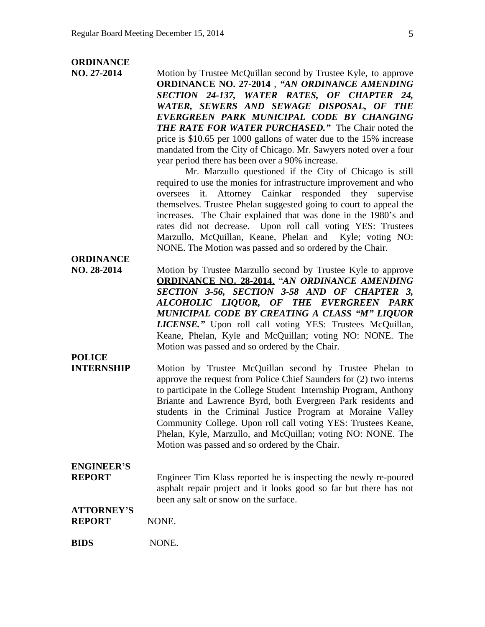### **ORDINANCE**

**NO. 27-2014** Motion by Trustee McQuillan second by Trustee Kyle, to approve **ORDINANCE NO. 27-2014** , *"AN ORDINANCE AMENDING SECTION 24-137, WATER RATES, OF CHAPTER 24, WATER, SEWERS AND SEWAGE DISPOSAL, OF THE EVERGREEN PARK MUNICIPAL CODE BY CHANGING THE RATE FOR WATER PURCHASED."* The Chair noted the price is \$10.65 per 1000 gallons of water due to the 15% increase mandated from the City of Chicago. Mr. Sawyers noted over a four year period there has been over a 90% increase. Mr. Marzullo questioned if the City of Chicago is still required to use the monies for infrastructure improvement and who oversees it. Attorney Cainkar responded they supervise themselves. Trustee Phelan suggested going to court to appeal the increases. The Chair explained that was done in the 1980's and rates did not decrease. Upon roll call voting YES: Trustees Marzullo, McQuillan, Keane, Phelan and Kyle; voting NO: NONE. The Motion was passed and so ordered by the Chair. **ORDINANCE NO. 28-2014** Motion by Trustee Marzullo second by Trustee Kyle to approve **ORDINANCE NO. 28-2014**, "*AN ORDINANCE AMENDING SECTION 3-56, SECTION 3-58 AND OF CHAPTER 3, ALCOHOLIC LIQUOR, OF THE EVERGREEN PARK MUNICIPAL CODE BY CREATING A CLASS "M" LIQUOR LICENSE."* Upon roll call voting YES: Trustees McQuillan, Keane, Phelan, Kyle and McQuillan; voting NO: NONE. The Motion was passed and so ordered by the Chair. **POLICE INTERNSHIP** Motion by Trustee McQuillan second by Trustee Phelan to approve the request from Police Chief Saunders for (2) two interns to participate in the College Student Internship Program, Anthony Briante and Lawrence Byrd, both Evergreen Park residents and students in the Criminal Justice Program at Moraine Valley Community College. Upon roll call voting YES: Trustees Keane, Phelan, Kyle, Marzullo, and McQuillan; voting NO: NONE. The Motion was passed and so ordered by the Chair. **ENGINEER'S REPORT** Engineer Tim Klass reported he is inspecting the newly re-poured asphalt repair project and it looks good so far but there has not been any salt or snow on the surface. **ATTORNEY'S REPORT NONE. BIDS** NONE.